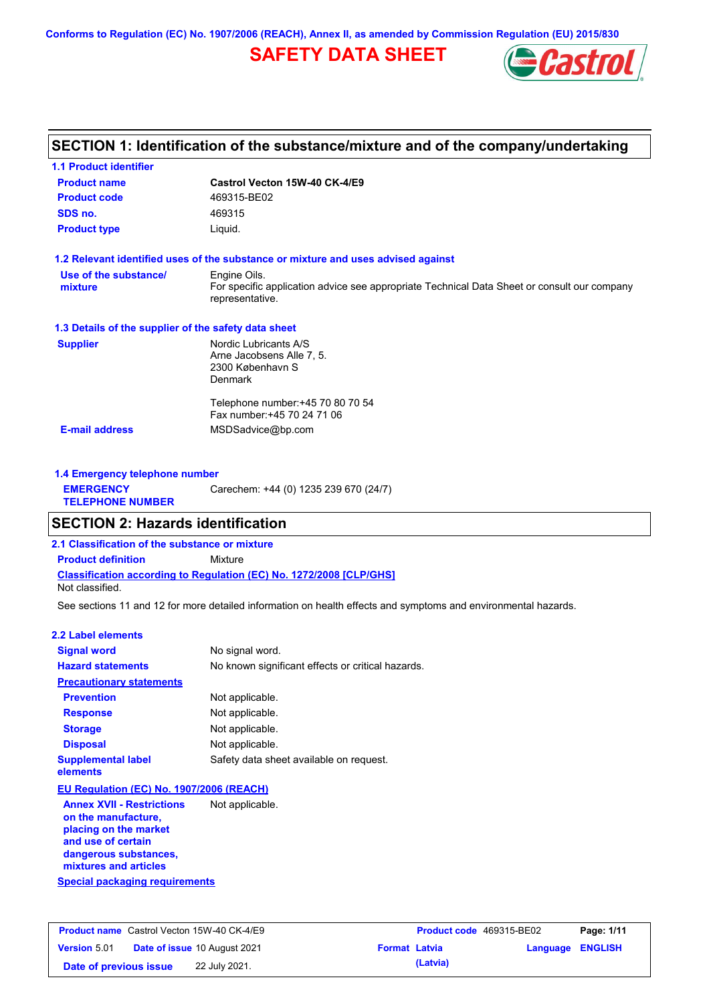**Conforms to Regulation (EC) No. 1907/2006 (REACH), Annex II, as amended by Commission Regulation (EU) 2015/830**

# **SAFETY DATA SHEET**



# **SECTION 1: Identification of the substance/mixture and of the company/undertaking**

| <b>1.1 Product identifier</b>                        |                                                                                                                                |
|------------------------------------------------------|--------------------------------------------------------------------------------------------------------------------------------|
| <b>Product name</b>                                  | Castrol Vecton 15W-40 CK-4/E9                                                                                                  |
| <b>Product code</b>                                  | 469315-BE02                                                                                                                    |
| SDS no.                                              | 469315                                                                                                                         |
| <b>Product type</b>                                  | Liquid.                                                                                                                        |
|                                                      | 1.2 Relevant identified uses of the substance or mixture and uses advised against                                              |
| Use of the substance/<br>mixture                     | Engine Oils.<br>For specific application advice see appropriate Technical Data Sheet or consult our company<br>representative. |
| 1.3 Details of the supplier of the safety data sheet |                                                                                                                                |
| <b>Supplier</b>                                      | Nordic Lubricants A/S<br>Arne Jacobsens Alle 7, 5.<br>2300 København S<br><b>Denmark</b>                                       |
|                                                      | Telephone number: +45 70 80 70 54<br>Fax number: +45 70 24 71 06                                                               |
| <b>E-mail address</b>                                | MSDSadvice@bp.com                                                                                                              |

| 1.4 Emergency telephone number              |                                       |  |
|---------------------------------------------|---------------------------------------|--|
| <b>EMERGENCY</b><br><b>TELEPHONE NUMBER</b> | Carechem: +44 (0) 1235 239 670 (24/7) |  |

### **SECTION 2: Hazards identification**

**2.1 Classification of the substance or mixture**

**Classification according to Regulation (EC) No. 1272/2008 [CLP/GHS] Product definition** Mixture

Not classified.

See sections 11 and 12 for more detailed information on health effects and symptoms and environmental hazards.

#### **2.2 Label elements**

| <b>Signal word</b>                                      | No signal word.                                   |
|---------------------------------------------------------|---------------------------------------------------|
| <b>Hazard statements</b>                                | No known significant effects or critical hazards. |
| <b>Precautionary statements</b>                         |                                                   |
| <b>Prevention</b>                                       | Not applicable.                                   |
| <b>Response</b>                                         | Not applicable.                                   |
| <b>Storage</b>                                          | Not applicable.                                   |
| <b>Disposal</b>                                         | Not applicable.                                   |
| <b>Supplemental label</b><br>elements                   | Safety data sheet available on request.           |
| EU Regulation (EC) No. 1907/2006 (REACH)                |                                                   |
| <b>Annex XVII - Restrictions</b><br>on the manufacture, | Not applicable.                                   |

**Special packaging requirements placing on the market and use of certain dangerous substances, mixtures and articles**

|                        | <b>Product name</b> Castrol Vecton 15W-40 CK-4/E9 |                      | <b>Product code</b> 469315-BE02 |                         | Page: 1/11 |
|------------------------|---------------------------------------------------|----------------------|---------------------------------|-------------------------|------------|
| <b>Version 5.01</b>    | <b>Date of issue 10 August 2021</b>               | <b>Format Latvia</b> |                                 | <b>Language ENGLISH</b> |            |
| Date of previous issue | 22 July 2021.                                     |                      | (Latvia)                        |                         |            |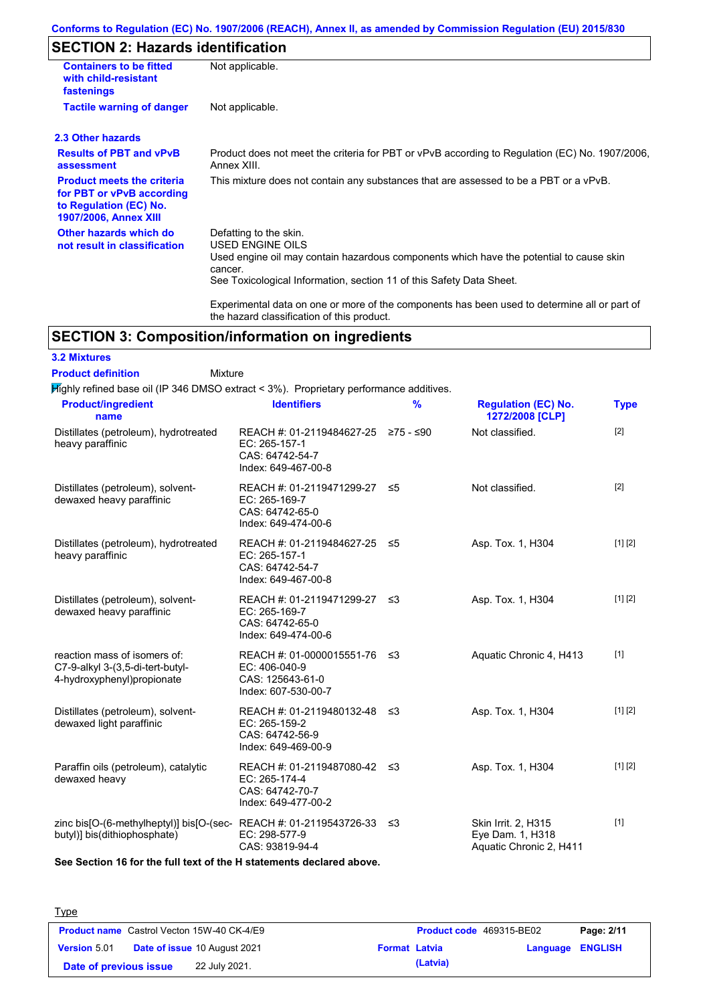### **Conforms to Regulation (EC) No. 1907/2006 (REACH), Annex II, as amended by Commission Regulation (EU) 2015/830**

# **SECTION 2: Hazards identification**

| <b>Containers to be fitted</b><br>with child-resistant<br>fastenings                                                     | Not applicable.                                                                                                                                                                                                                 |  |  |  |  |
|--------------------------------------------------------------------------------------------------------------------------|---------------------------------------------------------------------------------------------------------------------------------------------------------------------------------------------------------------------------------|--|--|--|--|
| <b>Tactile warning of danger</b>                                                                                         | Not applicable.                                                                                                                                                                                                                 |  |  |  |  |
| 2.3 Other hazards                                                                                                        |                                                                                                                                                                                                                                 |  |  |  |  |
| <b>Results of PBT and vPvB</b><br>assessment                                                                             | Product does not meet the criteria for PBT or vPvB according to Regulation (EC) No. 1907/2006,<br>Annex XIII.                                                                                                                   |  |  |  |  |
| <b>Product meets the criteria</b><br>for PBT or vPvB according<br>to Regulation (EC) No.<br><b>1907/2006, Annex XIII</b> | This mixture does not contain any substances that are assessed to be a PBT or a vPvB.                                                                                                                                           |  |  |  |  |
| Other hazards which do<br>not result in classification                                                                   | Defatting to the skin.<br><b>USED ENGINE OILS</b><br>Used engine oil may contain hazardous components which have the potential to cause skin<br>cancer.<br>See Toxicological Information, section 11 of this Safety Data Sheet. |  |  |  |  |
|                                                                                                                          | Experimental data on one or more of the components has been used to determine all or part of<br>the hazard classification of this product.                                                                                      |  |  |  |  |

## **SECTION 3: Composition/information on ingredients**

**3.2 Mixtures Product definition**

#### Mixture

 $H$ ighly refined base oil (IP 346 DMSO extract < 3%). Proprietary performance additives.

| <b>Product/ingredient</b><br>name                                                                    | <b>Identifiers</b>                                                                             | $\frac{9}{6}$ | <b>Regulation (EC) No.</b><br>1272/2008 [CLP]                      | <b>Type</b> |
|------------------------------------------------------------------------------------------------------|------------------------------------------------------------------------------------------------|---------------|--------------------------------------------------------------------|-------------|
| Distillates (petroleum), hydrotreated<br>heavy paraffinic                                            | REACH #: 01-2119484627-25 ≥75 - ≤90<br>EC: 265-157-1<br>CAS: 64742-54-7<br>Index: 649-467-00-8 |               | Not classified.                                                    | $[2]$       |
| Distillates (petroleum), solvent-<br>dewaxed heavy paraffinic                                        | REACH #: 01-2119471299-27<br>EC: 265-169-7<br>CAS: 64742-65-0<br>Index: 649-474-00-6           | ≤5            | Not classified.                                                    | [2]         |
| Distillates (petroleum), hydrotreated<br>heavy paraffinic                                            | REACH #: 01-2119484627-25 ≤5<br>EC: 265-157-1<br>CAS: 64742-54-7<br>Index: 649-467-00-8        |               | Asp. Tox. 1, H304                                                  | [1] [2]     |
| Distillates (petroleum), solvent-<br>dewaxed heavy paraffinic                                        | REACH #: 01-2119471299-27 ≤3<br>EC: 265-169-7<br>CAS: 64742-65-0<br>Index: 649-474-00-6        |               | Asp. Tox. 1, H304                                                  | [1] [2]     |
| reaction mass of isomers of:<br>C7-9-alkyl 3-(3,5-di-tert-butyl-<br>4-hydroxyphenyl)propionate       | REACH #: 01-0000015551-76 ≤3<br>EC: 406-040-9<br>CAS: 125643-61-0<br>Index: 607-530-00-7       |               | Aquatic Chronic 4, H413                                            | $[1]$       |
| Distillates (petroleum), solvent-<br>dewaxed light paraffinic                                        | REACH #: 01-2119480132-48 ≤3<br>EC: 265-159-2<br>CAS: 64742-56-9<br>Index: 649-469-00-9        |               | Asp. Tox. 1, H304                                                  | [1] [2]     |
| Paraffin oils (petroleum), catalytic<br>dewaxed heavy                                                | REACH #: 01-2119487080-42 ≤3<br>EC: 265-174-4<br>CAS: 64742-70-7<br>Index: 649-477-00-2        |               | Asp. Tox. 1, H304                                                  | [1] [2]     |
| zinc bis[O-(6-methylheptyl)] bis[O-(sec-REACH #: 01-2119543726-33 ≤3<br>butyl)] bis(dithiophosphate) | EC: 298-577-9<br>CAS: 93819-94-4                                                               |               | Skin Irrit. 2. H315<br>Eye Dam. 1, H318<br>Aquatic Chronic 2, H411 | $[1]$       |

**See Section 16 for the full text of the H statements declared above.**

| <b>Type</b>            |                                                   |                      |                          |                         |            |
|------------------------|---------------------------------------------------|----------------------|--------------------------|-------------------------|------------|
|                        | <b>Product name</b> Castrol Vecton 15W-40 CK-4/E9 |                      | Product code 469315-BE02 |                         | Page: 2/11 |
| <b>Version 5.01</b>    | <b>Date of issue 10 August 2021</b>               | <b>Format Latvia</b> |                          | <b>Language ENGLISH</b> |            |
| Date of previous issue | 22 July 2021.                                     |                      | (Latvia)                 |                         |            |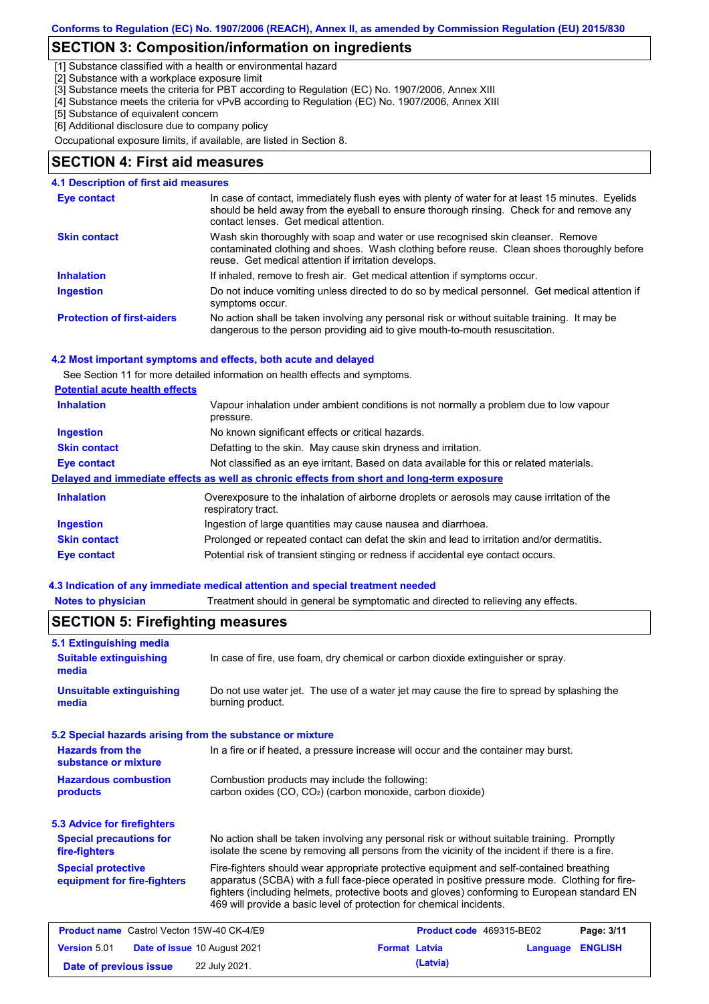### **SECTION 3: Composition/information on ingredients**

[1] Substance classified with a health or environmental hazard

[2] Substance with a workplace exposure limit

[3] Substance meets the criteria for PBT according to Regulation (EC) No. 1907/2006, Annex XIII

[4] Substance meets the criteria for vPvB according to Regulation (EC) No. 1907/2006, Annex XIII

[5] Substance of equivalent concern

[6] Additional disclosure due to company policy

Occupational exposure limits, if available, are listed in Section 8.

#### **SECTION 4: First aid measures**

| <b>4.1 Description of first aid measures</b> |                                                                                                                                                                                                                                         |
|----------------------------------------------|-----------------------------------------------------------------------------------------------------------------------------------------------------------------------------------------------------------------------------------------|
| Eye contact                                  | In case of contact, immediately flush eyes with plenty of water for at least 15 minutes. Eyelids<br>should be held away from the eyeball to ensure thorough rinsing. Check for and remove any<br>contact lenses. Get medical attention. |
| <b>Skin contact</b>                          | Wash skin thoroughly with soap and water or use recognised skin cleanser. Remove<br>contaminated clothing and shoes. Wash clothing before reuse. Clean shoes thoroughly before<br>reuse. Get medical attention if irritation develops.  |
| <b>Inhalation</b>                            | If inhaled, remove to fresh air. Get medical attention if symptoms occur.                                                                                                                                                               |
| <b>Ingestion</b>                             | Do not induce vomiting unless directed to do so by medical personnel. Get medical attention if<br>symptoms occur.                                                                                                                       |
| <b>Protection of first-aiders</b>            | No action shall be taken involving any personal risk or without suitable training. It may be<br>dangerous to the person providing aid to give mouth-to-mouth resuscitation.                                                             |

#### **4.2 Most important symptoms and effects, both acute and delayed**

See Section 11 for more detailed information on health effects and symptoms.

#### **Potential acute health effects**

| <b>Inhalation</b>   | Vapour inhalation under ambient conditions is not normally a problem due to low vapour<br>pressure.               |  |  |  |
|---------------------|-------------------------------------------------------------------------------------------------------------------|--|--|--|
| <b>Ingestion</b>    | No known significant effects or critical hazards.                                                                 |  |  |  |
| <b>Skin contact</b> | Defatting to the skin. May cause skin dryness and irritation.                                                     |  |  |  |
| Eye contact         | Not classified as an eye irritant. Based on data available for this or related materials.                         |  |  |  |
|                     | Delayed and immediate effects as well as chronic effects from short and long-term exposure                        |  |  |  |
| <b>Inhalation</b>   | Overexposure to the inhalation of airborne droplets or aerosols may cause irritation of the<br>respiratory tract. |  |  |  |
| <b>Ingestion</b>    | Ingestion of large quantities may cause nausea and diarrhoea.                                                     |  |  |  |
| <b>Skin contact</b> | Prolonged or repeated contact can defat the skin and lead to irritation and/or dermatitis.                        |  |  |  |
| Eye contact         | Potential risk of transient stinging or redness if accidental eye contact occurs.                                 |  |  |  |

#### **4.3 Indication of any immediate medical attention and special treatment needed**

**Notes to physician** Treatment should in general be symptomatic and directed to relieving any effects.

| 5.1 Extinguishing media                                   |                                                                                                                                                                                                                                                                                                                                                                   |                      |                          |          |                |
|-----------------------------------------------------------|-------------------------------------------------------------------------------------------------------------------------------------------------------------------------------------------------------------------------------------------------------------------------------------------------------------------------------------------------------------------|----------------------|--------------------------|----------|----------------|
| <b>Suitable extinguishing</b><br>media                    | In case of fire, use foam, dry chemical or carbon dioxide extinguisher or spray.                                                                                                                                                                                                                                                                                  |                      |                          |          |                |
| <b>Unsuitable extinguishing</b><br>media                  | Do not use water jet. The use of a water jet may cause the fire to spread by splashing the<br>burning product.                                                                                                                                                                                                                                                    |                      |                          |          |                |
| 5.2 Special hazards arising from the substance or mixture |                                                                                                                                                                                                                                                                                                                                                                   |                      |                          |          |                |
| <b>Hazards from the</b><br>substance or mixture           | In a fire or if heated, a pressure increase will occur and the container may burst.                                                                                                                                                                                                                                                                               |                      |                          |          |                |
| <b>Hazardous combustion</b><br>products                   | Combustion products may include the following:<br>carbon oxides (CO, CO <sub>2</sub> ) (carbon monoxide, carbon dioxide)                                                                                                                                                                                                                                          |                      |                          |          |                |
| <b>5.3 Advice for firefighters</b>                        |                                                                                                                                                                                                                                                                                                                                                                   |                      |                          |          |                |
| <b>Special precautions for</b><br>fire-fighters           | No action shall be taken involving any personal risk or without suitable training. Promptly<br>isolate the scene by removing all persons from the vicinity of the incident if there is a fire.                                                                                                                                                                    |                      |                          |          |                |
| <b>Special protective</b><br>equipment for fire-fighters  | Fire-fighters should wear appropriate protective equipment and self-contained breathing<br>apparatus (SCBA) with a full face-piece operated in positive pressure mode. Clothing for fire-<br>fighters (including helmets, protective boots and gloves) conforming to European standard EN<br>469 will provide a basic level of protection for chemical incidents. |                      |                          |          |                |
| <b>Product name</b> Castrol Vecton 15W-40 CK-4/E9         |                                                                                                                                                                                                                                                                                                                                                                   |                      | Product code 469315-BE02 |          | Page: 3/11     |
| <b>Version 5.01</b>                                       | Date of issue 10 August 2021                                                                                                                                                                                                                                                                                                                                      | <b>Format Latvia</b> |                          | Language | <b>ENGLISH</b> |
| Date of previous issue                                    | 22 July 2021.                                                                                                                                                                                                                                                                                                                                                     |                      | (Latvia)                 |          |                |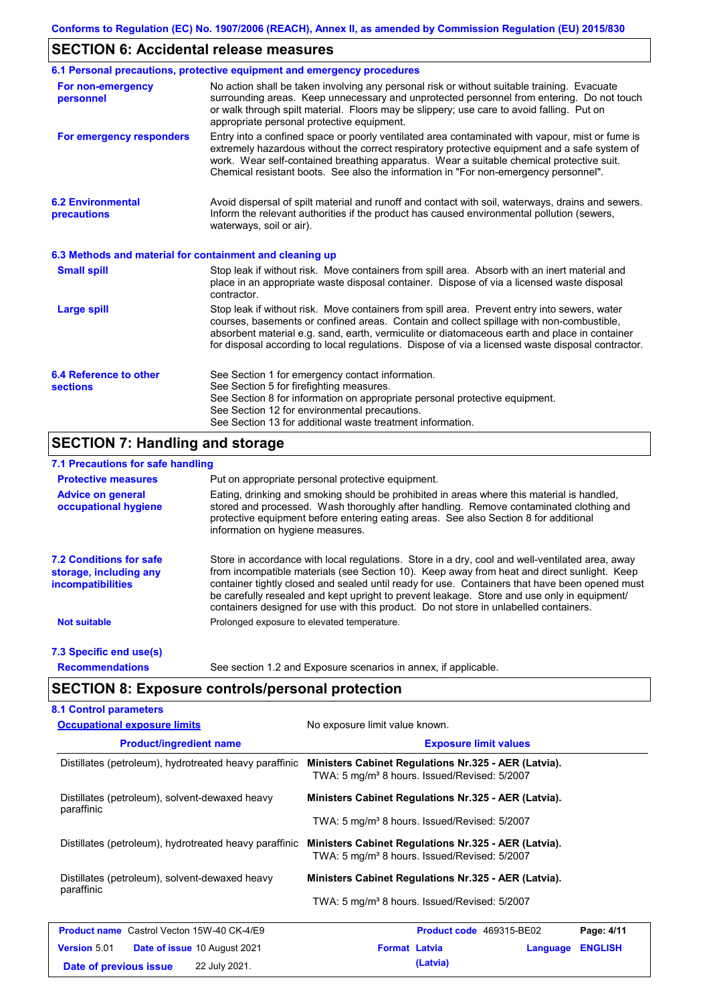## **SECTION 6: Accidental release measures**

|                                                          | 6.1 Personal precautions, protective equipment and emergency procedures                                                                                                                                                                                                                                                                                                                        |  |  |  |
|----------------------------------------------------------|------------------------------------------------------------------------------------------------------------------------------------------------------------------------------------------------------------------------------------------------------------------------------------------------------------------------------------------------------------------------------------------------|--|--|--|
| For non-emergency<br>personnel                           | No action shall be taken involving any personal risk or without suitable training. Evacuate<br>surrounding areas. Keep unnecessary and unprotected personnel from entering. Do not touch<br>or walk through spilt material. Floors may be slippery; use care to avoid falling. Put on<br>appropriate personal protective equipment.                                                            |  |  |  |
| For emergency responders                                 | Entry into a confined space or poorly ventilated area contaminated with vapour, mist or fume is<br>extremely hazardous without the correct respiratory protective equipment and a safe system of<br>work. Wear self-contained breathing apparatus. Wear a suitable chemical protective suit.<br>Chemical resistant boots. See also the information in "For non-emergency personnel".           |  |  |  |
| <b>6.2 Environmental</b><br>precautions                  | Avoid dispersal of spilt material and runoff and contact with soil, waterways, drains and sewers.<br>Inform the relevant authorities if the product has caused environmental pollution (sewers,<br>waterways, soil or air).                                                                                                                                                                    |  |  |  |
| 6.3 Methods and material for containment and cleaning up |                                                                                                                                                                                                                                                                                                                                                                                                |  |  |  |
| <b>Small spill</b>                                       | Stop leak if without risk. Move containers from spill area. Absorb with an inert material and<br>place in an appropriate waste disposal container. Dispose of via a licensed waste disposal<br>contractor.                                                                                                                                                                                     |  |  |  |
| <b>Large spill</b>                                       | Stop leak if without risk. Move containers from spill area. Prevent entry into sewers, water<br>courses, basements or confined areas. Contain and collect spillage with non-combustible,<br>absorbent material e.g. sand, earth, vermiculite or diatomaceous earth and place in container<br>for disposal according to local regulations. Dispose of via a licensed waste disposal contractor. |  |  |  |
| 6.4 Reference to other<br><b>sections</b>                | See Section 1 for emergency contact information.<br>See Section 5 for firefighting measures.<br>See Section 8 for information on appropriate personal protective equipment.<br>See Section 12 for environmental precautions.<br>See Section 13 for additional waste treatment information.                                                                                                     |  |  |  |

## **SECTION 7: Handling and storage**

### **7.1 Precautions for safe handling**

| <b>Protective measures</b>                                                           | Put on appropriate personal protective equipment.                                                                                                                                                                                                                                                                                                                                                                                                                                        |  |  |  |  |  |
|--------------------------------------------------------------------------------------|------------------------------------------------------------------------------------------------------------------------------------------------------------------------------------------------------------------------------------------------------------------------------------------------------------------------------------------------------------------------------------------------------------------------------------------------------------------------------------------|--|--|--|--|--|
| <b>Advice on general</b><br>occupational hygiene                                     | Eating, drinking and smoking should be prohibited in areas where this material is handled,<br>stored and processed. Wash thoroughly after handling. Remove contaminated clothing and<br>protective equipment before entering eating areas. See also Section 8 for additional<br>information on hygiene measures.                                                                                                                                                                         |  |  |  |  |  |
| <b>7.2 Conditions for safe</b><br>storage, including any<br><i>incompatibilities</i> | Store in accordance with local requiations. Store in a dry, cool and well-ventilated area, away<br>from incompatible materials (see Section 10). Keep away from heat and direct sunlight. Keep<br>container tightly closed and sealed until ready for use. Containers that have been opened must<br>be carefully resealed and kept upright to prevent leakage. Store and use only in equipment/<br>containers designed for use with this product. Do not store in unlabelled containers. |  |  |  |  |  |
| <b>Not suitable</b>                                                                  | Prolonged exposure to elevated temperature.                                                                                                                                                                                                                                                                                                                                                                                                                                              |  |  |  |  |  |
| 7.3 Specific end use(s)                                                              |                                                                                                                                                                                                                                                                                                                                                                                                                                                                                          |  |  |  |  |  |
| <b>Recommendations</b>                                                               | See section 1.2 and Exposure scenarios in annex, if applicable.                                                                                                                                                                                                                                                                                                                                                                                                                          |  |  |  |  |  |

# **SECTION 8: Exposure controls/personal protection**

| <b>Occupational exposure limits</b>                          | No exposure limit value known.                                                                                   |                |  |  |  |
|--------------------------------------------------------------|------------------------------------------------------------------------------------------------------------------|----------------|--|--|--|
| <b>Product/ingredient name</b>                               | <b>Exposure limit values</b>                                                                                     |                |  |  |  |
| Distillates (petroleum), hydrotreated heavy paraffinic       | Ministers Cabinet Regulations Nr.325 - AER (Latvia).<br>TWA: 5 mg/m <sup>3</sup> 8 hours. Issued/Revised: 5/2007 |                |  |  |  |
| Distillates (petroleum), solvent-dewaxed heavy<br>paraffinic | Ministers Cabinet Regulations Nr.325 - AER (Latvia).                                                             |                |  |  |  |
|                                                              | TWA: 5 mg/m <sup>3</sup> 8 hours. Issued/Revised: 5/2007                                                         |                |  |  |  |
| Distillates (petroleum), hydrotreated heavy paraffinic       | Ministers Cabinet Regulations Nr.325 - AER (Latvia).<br>TWA: 5 mg/m <sup>3</sup> 8 hours. Issued/Revised: 5/2007 |                |  |  |  |
| Distillates (petroleum), solvent-dewaxed heavy<br>paraffinic | Ministers Cabinet Regulations Nr.325 - AER (Latvia).                                                             |                |  |  |  |
|                                                              | TWA: 5 mg/m <sup>3</sup> 8 hours. Issued/Revised: 5/2007                                                         |                |  |  |  |
| <b>Product name</b> Castrol Vecton 15W-40 CK-4/E9            | Product code 469315-BE02                                                                                         | Page: 4/11     |  |  |  |
| <b>Version 5.01</b><br><b>Date of issue 10 August 2021</b>   | <b>Format Latvia</b><br>Language                                                                                 | <b>ENGLISH</b> |  |  |  |
| 22 July 2021.<br>Date of previous issue                      | (Latvia)                                                                                                         |                |  |  |  |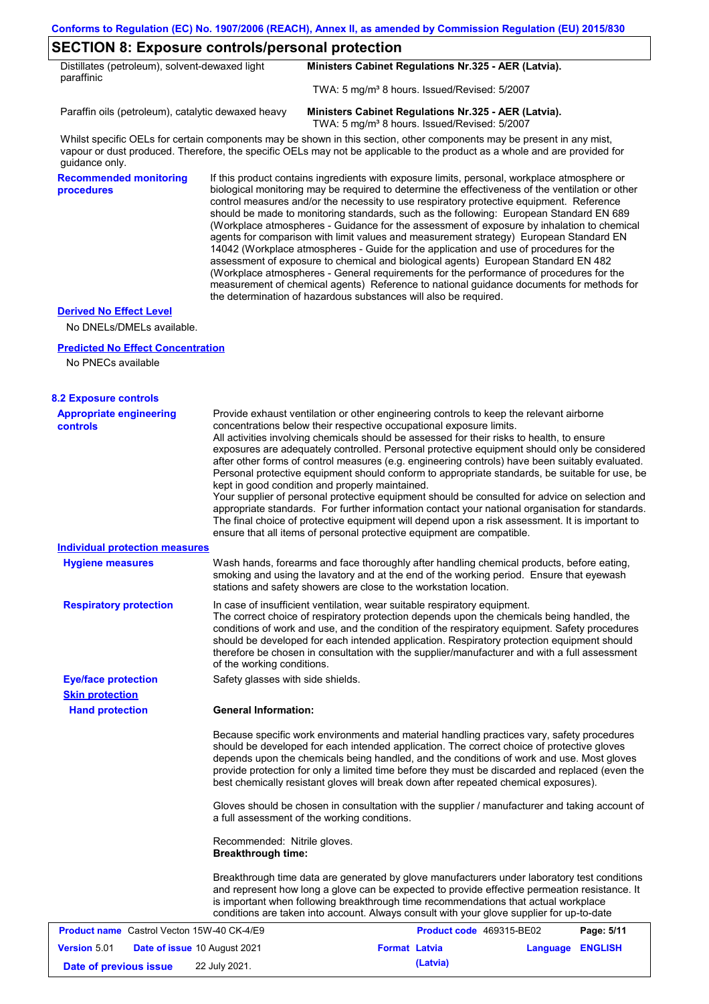### **SECTION 8: Exposure controls/personal protection**

| Distillates (petroleum), solvent-dewaxed light | Ministers Cabinet Regulations Nr.325 - AER (Latvia).     |  |  |
|------------------------------------------------|----------------------------------------------------------|--|--|
| paraffinic                                     | TWA: 5 mg/m <sup>3</sup> 8 hours. Issued/Revised: 5/2007 |  |  |

Paraffin oils (petroleum), catalytic dewaxed heavy **Ministers Cabinet Regulations Nr.325 - AER (Latvia).**

TWA: 5 mg/m<sup>3</sup> 8 hours. Issued/Revised: 5/2007

Whilst specific OELs for certain components may be shown in this section, other components may be present in any mist, vapour or dust produced. Therefore, the specific OELs may not be applicable to the product as a whole and are provided for guidance only.

**Recommended monitoring procedures**

If this product contains ingredients with exposure limits, personal, workplace atmosphere or biological monitoring may be required to determine the effectiveness of the ventilation or other control measures and/or the necessity to use respiratory protective equipment. Reference should be made to monitoring standards, such as the following: European Standard EN 689 (Workplace atmospheres - Guidance for the assessment of exposure by inhalation to chemical agents for comparison with limit values and measurement strategy) European Standard EN 14042 (Workplace atmospheres - Guide for the application and use of procedures for the assessment of exposure to chemical and biological agents) European Standard EN 482 (Workplace atmospheres - General requirements for the performance of procedures for the measurement of chemical agents) Reference to national guidance documents for methods for the determination of hazardous substances will also be required.

#### **Derived No Effect Level**

No DNELs/DMELs available.

#### **Predicted No Effect Concentration**

No PNECs available

| <b>8.2 Exposure controls</b>                               |                                                                                                                                                                                                                                                                                                                                                                                                                                                                                                                                                                                                                                                                                                                                                                                                                                                                                                                                                                                                         |                          |                  |            |
|------------------------------------------------------------|---------------------------------------------------------------------------------------------------------------------------------------------------------------------------------------------------------------------------------------------------------------------------------------------------------------------------------------------------------------------------------------------------------------------------------------------------------------------------------------------------------------------------------------------------------------------------------------------------------------------------------------------------------------------------------------------------------------------------------------------------------------------------------------------------------------------------------------------------------------------------------------------------------------------------------------------------------------------------------------------------------|--------------------------|------------------|------------|
| <b>Appropriate engineering</b><br><b>controls</b>          | Provide exhaust ventilation or other engineering controls to keep the relevant airborne<br>concentrations below their respective occupational exposure limits.<br>All activities involving chemicals should be assessed for their risks to health, to ensure<br>exposures are adequately controlled. Personal protective equipment should only be considered<br>after other forms of control measures (e.g. engineering controls) have been suitably evaluated.<br>Personal protective equipment should conform to appropriate standards, be suitable for use, be<br>kept in good condition and properly maintained.<br>Your supplier of personal protective equipment should be consulted for advice on selection and<br>appropriate standards. For further information contact your national organisation for standards.<br>The final choice of protective equipment will depend upon a risk assessment. It is important to<br>ensure that all items of personal protective equipment are compatible. |                          |                  |            |
| <b>Individual protection measures</b>                      |                                                                                                                                                                                                                                                                                                                                                                                                                                                                                                                                                                                                                                                                                                                                                                                                                                                                                                                                                                                                         |                          |                  |            |
| <b>Hygiene measures</b>                                    | Wash hands, forearms and face thoroughly after handling chemical products, before eating,<br>smoking and using the lavatory and at the end of the working period. Ensure that eyewash<br>stations and safety showers are close to the workstation location.                                                                                                                                                                                                                                                                                                                                                                                                                                                                                                                                                                                                                                                                                                                                             |                          |                  |            |
| <b>Respiratory protection</b>                              | In case of insufficient ventilation, wear suitable respiratory equipment.<br>The correct choice of respiratory protection depends upon the chemicals being handled, the<br>conditions of work and use, and the condition of the respiratory equipment. Safety procedures<br>should be developed for each intended application. Respiratory protection equipment should<br>therefore be chosen in consultation with the supplier/manufacturer and with a full assessment<br>of the working conditions.                                                                                                                                                                                                                                                                                                                                                                                                                                                                                                   |                          |                  |            |
| <b>Eye/face protection</b>                                 | Safety glasses with side shields.                                                                                                                                                                                                                                                                                                                                                                                                                                                                                                                                                                                                                                                                                                                                                                                                                                                                                                                                                                       |                          |                  |            |
| <b>Skin protection</b>                                     |                                                                                                                                                                                                                                                                                                                                                                                                                                                                                                                                                                                                                                                                                                                                                                                                                                                                                                                                                                                                         |                          |                  |            |
| <b>Hand protection</b>                                     | <b>General Information:</b>                                                                                                                                                                                                                                                                                                                                                                                                                                                                                                                                                                                                                                                                                                                                                                                                                                                                                                                                                                             |                          |                  |            |
|                                                            | Because specific work environments and material handling practices vary, safety procedures<br>should be developed for each intended application. The correct choice of protective gloves<br>depends upon the chemicals being handled, and the conditions of work and use. Most gloves<br>provide protection for only a limited time before they must be discarded and replaced (even the<br>best chemically resistant gloves will break down after repeated chemical exposures).                                                                                                                                                                                                                                                                                                                                                                                                                                                                                                                        |                          |                  |            |
|                                                            | Gloves should be chosen in consultation with the supplier / manufacturer and taking account of<br>a full assessment of the working conditions.                                                                                                                                                                                                                                                                                                                                                                                                                                                                                                                                                                                                                                                                                                                                                                                                                                                          |                          |                  |            |
|                                                            | Recommended: Nitrile gloves.<br><b>Breakthrough time:</b>                                                                                                                                                                                                                                                                                                                                                                                                                                                                                                                                                                                                                                                                                                                                                                                                                                                                                                                                               |                          |                  |            |
|                                                            | Breakthrough time data are generated by glove manufacturers under laboratory test conditions<br>and represent how long a glove can be expected to provide effective permeation resistance. It<br>is important when following breakthrough time recommendations that actual workplace<br>conditions are taken into account. Always consult with your glove supplier for up-to-date                                                                                                                                                                                                                                                                                                                                                                                                                                                                                                                                                                                                                       |                          |                  |            |
| <b>Product name</b> Castrol Vecton 15W-40 CK-4/E9          |                                                                                                                                                                                                                                                                                                                                                                                                                                                                                                                                                                                                                                                                                                                                                                                                                                                                                                                                                                                                         | Product code 469315-BE02 |                  | Page: 5/11 |
| <b>Version 5.01</b><br><b>Date of issue 10 August 2021</b> |                                                                                                                                                                                                                                                                                                                                                                                                                                                                                                                                                                                                                                                                                                                                                                                                                                                                                                                                                                                                         | <b>Format Latvia</b>     | Language ENGLISH |            |
| Date of previous issue                                     | 22 July 2021.                                                                                                                                                                                                                                                                                                                                                                                                                                                                                                                                                                                                                                                                                                                                                                                                                                                                                                                                                                                           | (Latvia)                 |                  |            |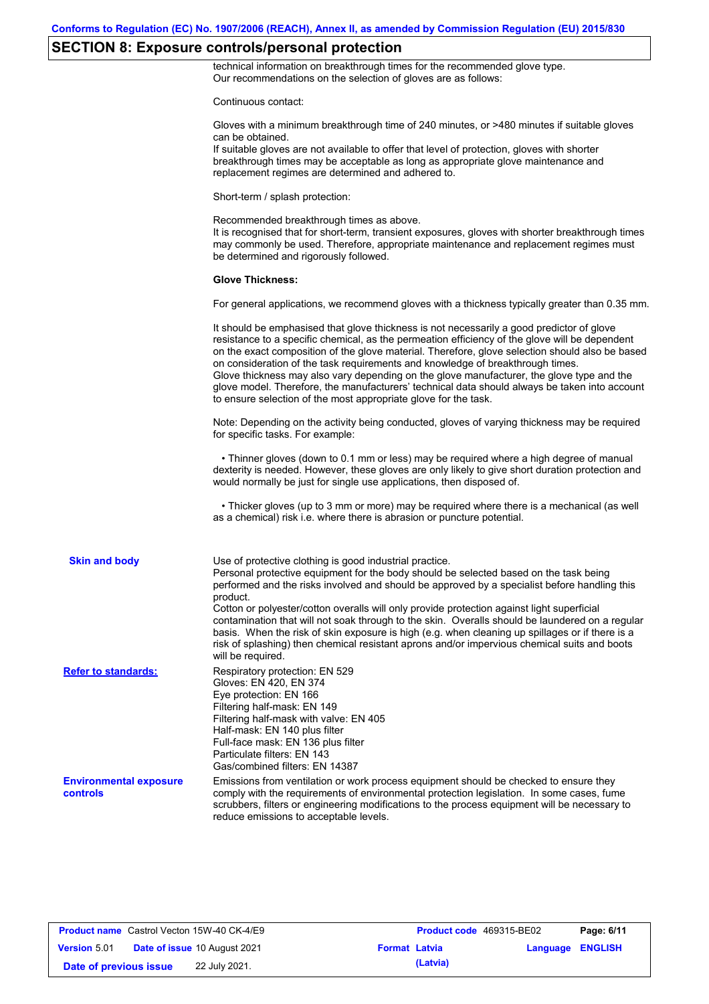# **SECTION 8: Exposure controls/personal protection**

technical information on breakthrough times for the recommended glove type. Our recommendations on the selection of gloves are as follows:

Continuous contact:

|                                           | Gloves with a minimum breakthrough time of 240 minutes, or >480 minutes if suitable gloves<br>can be obtained.<br>If suitable gloves are not available to offer that level of protection, gloves with shorter<br>breakthrough times may be acceptable as long as appropriate glove maintenance and<br>replacement regimes are determined and adhered to.                                                                                                                                                                                                                                                                                                                              |
|-------------------------------------------|---------------------------------------------------------------------------------------------------------------------------------------------------------------------------------------------------------------------------------------------------------------------------------------------------------------------------------------------------------------------------------------------------------------------------------------------------------------------------------------------------------------------------------------------------------------------------------------------------------------------------------------------------------------------------------------|
|                                           | Short-term / splash protection:                                                                                                                                                                                                                                                                                                                                                                                                                                                                                                                                                                                                                                                       |
|                                           | Recommended breakthrough times as above.<br>It is recognised that for short-term, transient exposures, gloves with shorter breakthrough times<br>may commonly be used. Therefore, appropriate maintenance and replacement regimes must<br>be determined and rigorously followed.                                                                                                                                                                                                                                                                                                                                                                                                      |
|                                           | <b>Glove Thickness:</b>                                                                                                                                                                                                                                                                                                                                                                                                                                                                                                                                                                                                                                                               |
|                                           | For general applications, we recommend gloves with a thickness typically greater than 0.35 mm.                                                                                                                                                                                                                                                                                                                                                                                                                                                                                                                                                                                        |
|                                           | It should be emphasised that glove thickness is not necessarily a good predictor of glove<br>resistance to a specific chemical, as the permeation efficiency of the glove will be dependent<br>on the exact composition of the glove material. Therefore, glove selection should also be based<br>on consideration of the task requirements and knowledge of breakthrough times.<br>Glove thickness may also vary depending on the glove manufacturer, the glove type and the<br>glove model. Therefore, the manufacturers' technical data should always be taken into account<br>to ensure selection of the most appropriate glove for the task.                                     |
|                                           | Note: Depending on the activity being conducted, gloves of varying thickness may be required<br>for specific tasks. For example:                                                                                                                                                                                                                                                                                                                                                                                                                                                                                                                                                      |
|                                           | • Thinner gloves (down to 0.1 mm or less) may be required where a high degree of manual<br>dexterity is needed. However, these gloves are only likely to give short duration protection and<br>would normally be just for single use applications, then disposed of.                                                                                                                                                                                                                                                                                                                                                                                                                  |
|                                           | • Thicker gloves (up to 3 mm or more) may be required where there is a mechanical (as well<br>as a chemical) risk i.e. where there is abrasion or puncture potential.                                                                                                                                                                                                                                                                                                                                                                                                                                                                                                                 |
| <b>Skin and body</b>                      | Use of protective clothing is good industrial practice.<br>Personal protective equipment for the body should be selected based on the task being<br>performed and the risks involved and should be approved by a specialist before handling this<br>product.<br>Cotton or polyester/cotton overalls will only provide protection against light superficial<br>contamination that will not soak through to the skin. Overalls should be laundered on a regular<br>basis. When the risk of skin exposure is high (e.g. when cleaning up spillages or if there is a<br>risk of splashing) then chemical resistant aprons and/or impervious chemical suits and boots<br>will be required. |
| <b>Refer to standards:</b>                | Respiratory protection: EN 529<br>Gloves: EN 420, EN 374<br>Eye protection: EN 166<br>Filtering half-mask: EN 149<br>Filtering half-mask with valve: EN 405<br>Half-mask: EN 140 plus filter<br>Full-face mask: EN 136 plus filter<br>Particulate filters: EN 143<br>Gas/combined filters: EN 14387                                                                                                                                                                                                                                                                                                                                                                                   |
| <b>Environmental exposure</b><br>controls | Emissions from ventilation or work process equipment should be checked to ensure they<br>comply with the requirements of environmental protection legislation. In some cases, fume<br>scrubbers, filters or engineering modifications to the process equipment will be necessary to<br>reduce emissions to acceptable levels.                                                                                                                                                                                                                                                                                                                                                         |
|                                           |                                                                                                                                                                                                                                                                                                                                                                                                                                                                                                                                                                                                                                                                                       |

|                        | <b>Product name</b> Castrol Vecton 15W-40 CK-4/E9 |                      | Product code 469315-BE02 |                         | Page: 6/11 |
|------------------------|---------------------------------------------------|----------------------|--------------------------|-------------------------|------------|
| <b>Version 5.01</b>    | <b>Date of issue 10 August 2021</b>               | <b>Format Latvia</b> |                          | <b>Language ENGLISH</b> |            |
| Date of previous issue | 22 July 2021.                                     |                      | (Latvia)                 |                         |            |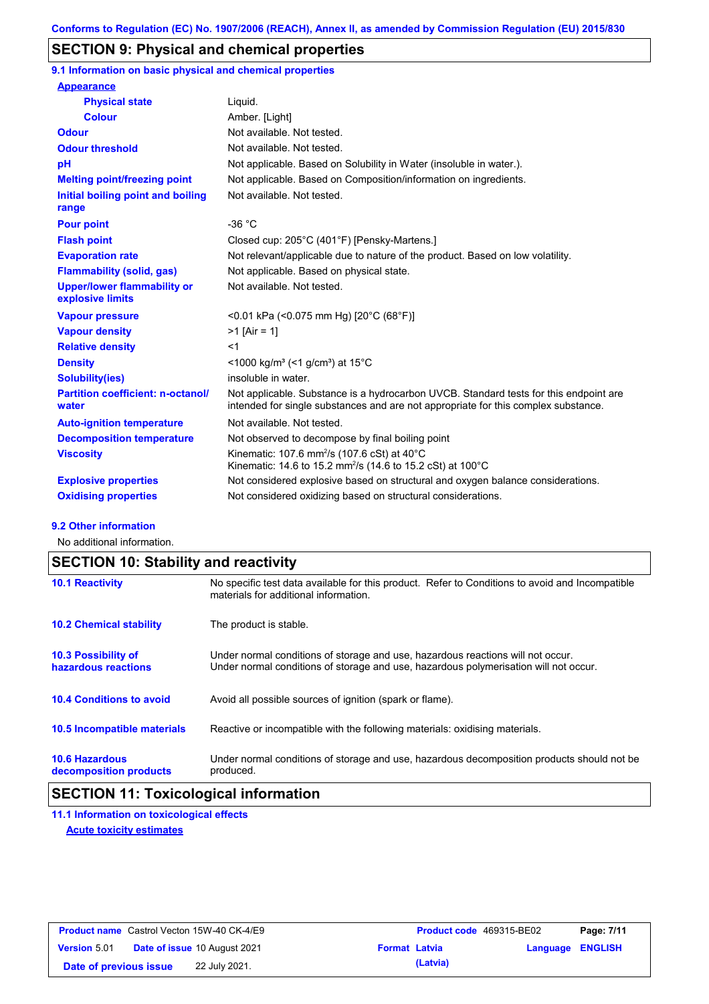## **SECTION 9: Physical and chemical properties**

**9.1 Information on basic physical and chemical properties**

| <b>Appearance</b>                                      |                                                                                                                                                                             |
|--------------------------------------------------------|-----------------------------------------------------------------------------------------------------------------------------------------------------------------------------|
| <b>Physical state</b>                                  | Liquid.                                                                                                                                                                     |
| <b>Colour</b>                                          | Amber. [Light]                                                                                                                                                              |
| <b>Odour</b>                                           | Not available. Not tested.                                                                                                                                                  |
| <b>Odour threshold</b>                                 | Not available. Not tested.                                                                                                                                                  |
| pH                                                     | Not applicable. Based on Solubility in Water (insoluble in water.).                                                                                                         |
| <b>Melting point/freezing point</b>                    | Not applicable. Based on Composition/information on ingredients.                                                                                                            |
| Initial boiling point and boiling<br>range             | Not available. Not tested.                                                                                                                                                  |
| <b>Pour point</b>                                      | $-36 °C$                                                                                                                                                                    |
| <b>Flash point</b>                                     | Closed cup: 205°C (401°F) [Pensky-Martens.]                                                                                                                                 |
| <b>Evaporation rate</b>                                | Not relevant/applicable due to nature of the product. Based on low volatility.                                                                                              |
| <b>Flammability (solid, gas)</b>                       | Not applicable. Based on physical state.                                                                                                                                    |
| <b>Upper/lower flammability or</b><br>explosive limits | Not available. Not tested.                                                                                                                                                  |
| <b>Vapour pressure</b>                                 | <0.01 kPa (<0.075 mm Hg) [20°C (68°F)]                                                                                                                                      |
| <b>Vapour density</b>                                  | $>1$ [Air = 1]                                                                                                                                                              |
| <b>Relative density</b>                                | $<$ 1                                                                                                                                                                       |
| <b>Density</b>                                         | $\leq$ 1000 kg/m <sup>3</sup> ( $\leq$ 1 g/cm <sup>3</sup> ) at 15 <sup>°</sup> C                                                                                           |
| <b>Solubility(ies)</b>                                 | insoluble in water.                                                                                                                                                         |
| <b>Partition coefficient: n-octanol/</b><br>water      | Not applicable. Substance is a hydrocarbon UVCB. Standard tests for this endpoint are<br>intended for single substances and are not appropriate for this complex substance. |
| <b>Auto-ignition temperature</b>                       | Not available. Not tested.                                                                                                                                                  |
| <b>Decomposition temperature</b>                       | Not observed to decompose by final boiling point                                                                                                                            |
| <b>Viscosity</b>                                       | Kinematic: 107.6 mm <sup>2</sup> /s (107.6 cSt) at $40^{\circ}$ C<br>Kinematic: 14.6 to 15.2 mm <sup>2</sup> /s (14.6 to 15.2 cSt) at 100°C                                 |
| <b>Explosive properties</b>                            | Not considered explosive based on structural and oxygen balance considerations.                                                                                             |
| <b>Oxidising properties</b>                            | Not considered oxidizing based on structural considerations.                                                                                                                |

#### **9.2 Other information**

No additional information.

# **SECTION 10: Stability and reactivity**

| <b>10.1 Reactivity</b>                            | No specific test data available for this product. Refer to Conditions to avoid and Incompatible<br>materials for additional information.                                |
|---------------------------------------------------|-------------------------------------------------------------------------------------------------------------------------------------------------------------------------|
| <b>10.2 Chemical stability</b>                    | The product is stable.                                                                                                                                                  |
| <b>10.3 Possibility of</b><br>hazardous reactions | Under normal conditions of storage and use, hazardous reactions will not occur.<br>Under normal conditions of storage and use, hazardous polymerisation will not occur. |
| <b>10.4 Conditions to avoid</b>                   | Avoid all possible sources of ignition (spark or flame).                                                                                                                |
| <b>10.5 Incompatible materials</b>                | Reactive or incompatible with the following materials: oxidising materials.                                                                                             |
| <b>10.6 Hazardous</b><br>decomposition products   | Under normal conditions of storage and use, hazardous decomposition products should not be<br>produced.                                                                 |

## **SECTION 11: Toxicological information**

**11.1 Information on toxicological effects Acute toxicity estimates**

|                        | <b>Product name</b> Castrol Vecton 15W-40 CK-4/E9 |                      | <b>Product code</b> 469315-BE02 |                  | Page: 7/11 |
|------------------------|---------------------------------------------------|----------------------|---------------------------------|------------------|------------|
| <b>Version 5.01</b>    | <b>Date of issue 10 August 2021</b>               | <b>Format Latvia</b> |                                 | Language ENGLISH |            |
| Date of previous issue | 22 July 2021.                                     |                      | (Latvia)                        |                  |            |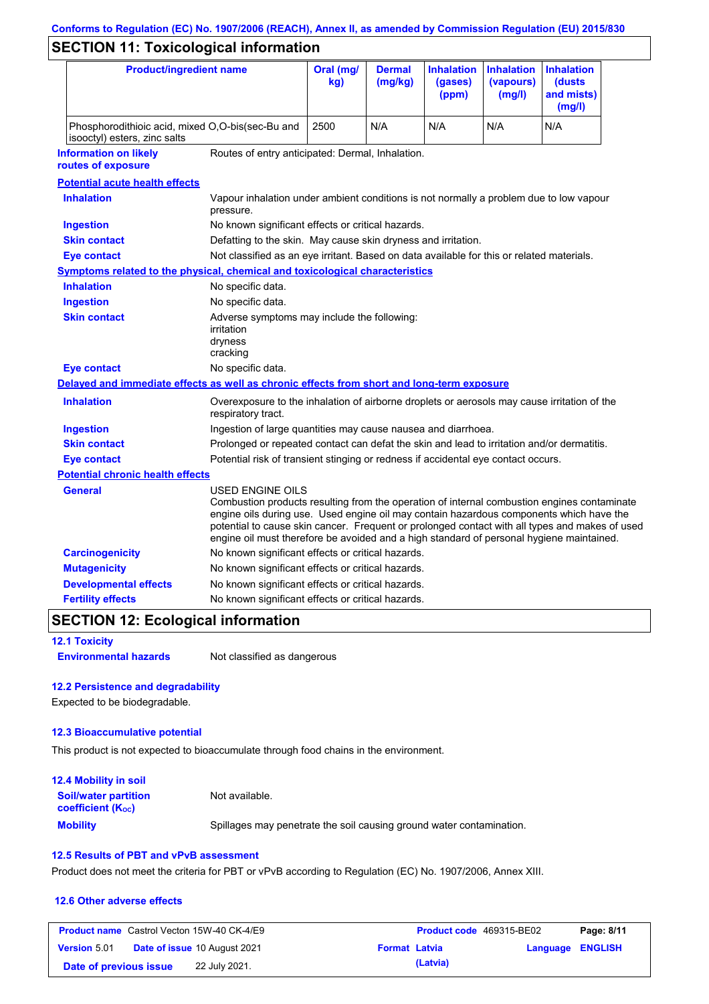# **Conforms to Regulation (EC) No. 1907/2006 (REACH), Annex II, as amended by Commission Regulation (EU) 2015/830**

# **SECTION 11: Toxicological information**

| <b>Product/ingredient name</b>                                                             |                                                                                                                                                                                                         | Oral (mg/<br>kg)                                                                           | <b>Dermal</b><br>(mg/kg) | <b>Inhalation</b><br>(gases)<br>(ppm) | <b>Inhalation</b><br>(vapours)<br>(mg/l) | <b>Inhalation</b><br>(dusts)<br>and mists)<br>(mg/l)                                                                                                                                          |
|--------------------------------------------------------------------------------------------|---------------------------------------------------------------------------------------------------------------------------------------------------------------------------------------------------------|--------------------------------------------------------------------------------------------|--------------------------|---------------------------------------|------------------------------------------|-----------------------------------------------------------------------------------------------------------------------------------------------------------------------------------------------|
| isooctyl) esters, zinc salts                                                               | Phosphorodithioic acid, mixed O,O-bis(sec-Bu and                                                                                                                                                        |                                                                                            | N/A                      | N/A                                   | N/A                                      | N/A                                                                                                                                                                                           |
| <b>Information on likely</b><br>routes of exposure                                         | Routes of entry anticipated: Dermal, Inhalation.                                                                                                                                                        |                                                                                            |                          |                                       |                                          |                                                                                                                                                                                               |
| <b>Potential acute health effects</b>                                                      |                                                                                                                                                                                                         |                                                                                            |                          |                                       |                                          |                                                                                                                                                                                               |
| <b>Inhalation</b>                                                                          | Vapour inhalation under ambient conditions is not normally a problem due to low vapour<br>pressure.                                                                                                     |                                                                                            |                          |                                       |                                          |                                                                                                                                                                                               |
| <b>Ingestion</b>                                                                           | No known significant effects or critical hazards.                                                                                                                                                       |                                                                                            |                          |                                       |                                          |                                                                                                                                                                                               |
| <b>Skin contact</b>                                                                        | Defatting to the skin. May cause skin dryness and irritation.                                                                                                                                           |                                                                                            |                          |                                       |                                          |                                                                                                                                                                                               |
| <b>Eye contact</b>                                                                         | Not classified as an eye irritant. Based on data available for this or related materials.                                                                                                               |                                                                                            |                          |                                       |                                          |                                                                                                                                                                                               |
| <b>Symptoms related to the physical, chemical and toxicological characteristics</b>        |                                                                                                                                                                                                         |                                                                                            |                          |                                       |                                          |                                                                                                                                                                                               |
| <b>Inhalation</b>                                                                          | No specific data.                                                                                                                                                                                       |                                                                                            |                          |                                       |                                          |                                                                                                                                                                                               |
| <b>Ingestion</b>                                                                           | No specific data.                                                                                                                                                                                       |                                                                                            |                          |                                       |                                          |                                                                                                                                                                                               |
| <b>Skin contact</b>                                                                        | irritation<br>dryness<br>cracking                                                                                                                                                                       | Adverse symptoms may include the following:                                                |                          |                                       |                                          |                                                                                                                                                                                               |
| <b>Eye contact</b>                                                                         | No specific data.                                                                                                                                                                                       |                                                                                            |                          |                                       |                                          |                                                                                                                                                                                               |
| Delayed and immediate effects as well as chronic effects from short and long-term exposure |                                                                                                                                                                                                         |                                                                                            |                          |                                       |                                          |                                                                                                                                                                                               |
| <b>Inhalation</b>                                                                          | Overexposure to the inhalation of airborne droplets or aerosols may cause irritation of the<br>respiratory tract.                                                                                       |                                                                                            |                          |                                       |                                          |                                                                                                                                                                                               |
| <b>Ingestion</b>                                                                           |                                                                                                                                                                                                         | Ingestion of large quantities may cause nausea and diarrhoea.                              |                          |                                       |                                          |                                                                                                                                                                                               |
| <b>Skin contact</b>                                                                        |                                                                                                                                                                                                         | Prolonged or repeated contact can defat the skin and lead to irritation and/or dermatitis. |                          |                                       |                                          |                                                                                                                                                                                               |
| <b>Eye contact</b>                                                                         |                                                                                                                                                                                                         | Potential risk of transient stinging or redness if accidental eye contact occurs.          |                          |                                       |                                          |                                                                                                                                                                                               |
| <b>Potential chronic health effects</b>                                                    |                                                                                                                                                                                                         |                                                                                            |                          |                                       |                                          |                                                                                                                                                                                               |
| General                                                                                    | USED ENGINE OILS<br>engine oils during use. Used engine oil may contain hazardous components which have the<br>engine oil must therefore be avoided and a high standard of personal hygiene maintained. |                                                                                            |                          |                                       |                                          | Combustion products resulting from the operation of internal combustion engines contaminate<br>potential to cause skin cancer. Frequent or prolonged contact with all types and makes of used |
| <b>Carcinogenicity</b>                                                                     | No known significant effects or critical hazards.                                                                                                                                                       |                                                                                            |                          |                                       |                                          |                                                                                                                                                                                               |
| <b>Mutagenicity</b>                                                                        | No known significant effects or critical hazards.                                                                                                                                                       |                                                                                            |                          |                                       |                                          |                                                                                                                                                                                               |
| <b>Developmental effects</b>                                                               | No known significant effects or critical hazards.                                                                                                                                                       |                                                                                            |                          |                                       |                                          |                                                                                                                                                                                               |
| <b>Fertility effects</b>                                                                   | No known significant effects or critical hazards.                                                                                                                                                       |                                                                                            |                          |                                       |                                          |                                                                                                                                                                                               |

## **SECTION 12: Ecological information**

**12.1 Toxicity**

**Environmental hazards** Not classified as dangerous

#### **12.2 Persistence and degradability**

Expected to be biodegradable.

#### **12.3 Bioaccumulative potential**

This product is not expected to bioaccumulate through food chains in the environment.

| <b>12.4 Mobility in soil</b>                                         |                                                                      |
|----------------------------------------------------------------------|----------------------------------------------------------------------|
| <b>Soil/water partition</b><br><b>coefficient</b> (K <sub>oc</sub> ) | Not available.                                                       |
| <b>Mobility</b>                                                      | Spillages may penetrate the soil causing ground water contamination. |

### **12.5 Results of PBT and vPvB assessment**

Product does not meet the criteria for PBT or vPvB according to Regulation (EC) No. 1907/2006, Annex XIII.

#### **12.6 Other adverse effects**

|                        | <b>Product name</b> Castrol Vecton 15W-40 CK-4/E9 |                      | <b>Product code</b> 469315-BE02 |                  | Page: 8/11 |
|------------------------|---------------------------------------------------|----------------------|---------------------------------|------------------|------------|
| <b>Version 5.01</b>    | <b>Date of issue 10 August 2021</b>               | <b>Format Latvia</b> |                                 | Language ENGLISH |            |
| Date of previous issue | 22 July 2021.                                     |                      | (Latvia)                        |                  |            |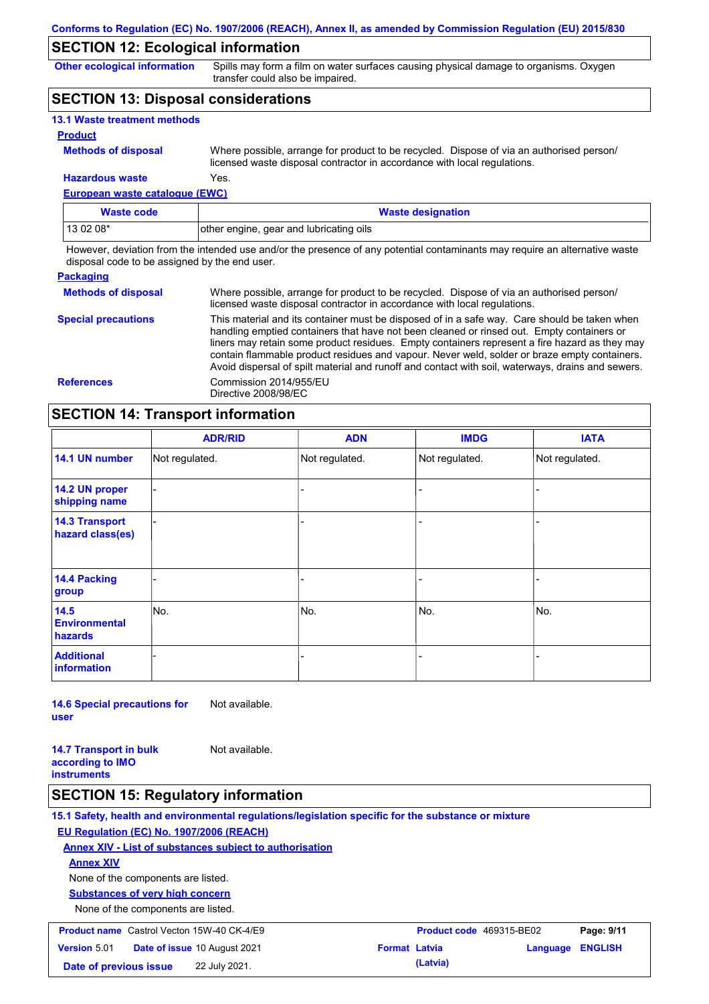### **SECTION 12: Ecological information**

**Other ecological information**

Spills may form a film on water surfaces causing physical damage to organisms. Oxygen transfer could also be impaired.

### **SECTION 13: Disposal considerations**

| <b>13.1 Waste treatment methods</b> |                                                                                                                                                                      |
|-------------------------------------|----------------------------------------------------------------------------------------------------------------------------------------------------------------------|
| <b>Product</b>                      |                                                                                                                                                                      |
| <b>Methods of disposal</b>          | Where possible, arrange for product to be recycled. Dispose of via an authorised person/<br>licensed waste disposal contractor in accordance with local regulations. |
| <b>Hazardous waste</b>              | Yes.                                                                                                                                                                 |

**European waste catalogue (EWC)**

| Waste code | <b>Waste designation</b>                |
|------------|-----------------------------------------|
| $130208*$  | other engine, gear and lubricating oils |

However, deviation from the intended use and/or the presence of any potential contaminants may require an alternative waste disposal code to be assigned by the end user.

| <b>Packaging</b>           |                                                                                                                                                                                                                                                                                                                                                                                                                                                                                                 |
|----------------------------|-------------------------------------------------------------------------------------------------------------------------------------------------------------------------------------------------------------------------------------------------------------------------------------------------------------------------------------------------------------------------------------------------------------------------------------------------------------------------------------------------|
| <b>Methods of disposal</b> | Where possible, arrange for product to be recycled. Dispose of via an authorised person/<br>licensed waste disposal contractor in accordance with local regulations.                                                                                                                                                                                                                                                                                                                            |
| <b>Special precautions</b> | This material and its container must be disposed of in a safe way. Care should be taken when<br>handling emptied containers that have not been cleaned or rinsed out. Empty containers or<br>liners may retain some product residues. Empty containers represent a fire hazard as they may<br>contain flammable product residues and vapour. Never weld, solder or braze empty containers.<br>Avoid dispersal of spilt material and runoff and contact with soil, waterways, drains and sewers. |
| <b>References</b>          | Commission 2014/955/EU<br>Directive 2008/98/EC                                                                                                                                                                                                                                                                                                                                                                                                                                                  |

## **SECTION 14: Transport information**

|                                           | <b>ADR/RID</b> | <b>ADN</b>     | <b>IMDG</b>    | <b>IATA</b>    |  |
|-------------------------------------------|----------------|----------------|----------------|----------------|--|
| 14.1 UN number                            | Not regulated. | Not regulated. | Not regulated. | Not regulated. |  |
| 14.2 UN proper<br>shipping name           |                |                | -              |                |  |
| <b>14.3 Transport</b><br>hazard class(es) |                |                | -              |                |  |
| 14.4 Packing<br>group                     |                |                | -              |                |  |
| 14.5<br><b>Environmental</b><br>hazards   | No.            | No.            | No.            | No.            |  |
| <b>Additional</b><br><b>information</b>   |                |                |                |                |  |

**14.6 Special precautions for user** Not available.

**14.7 Transport in bulk according to IMO instruments** Not available.

### **SECTION 15: Regulatory information**

**15.1 Safety, health and environmental regulations/legislation specific for the substance or mixture EU Regulation (EC) No. 1907/2006 (REACH) Annex XIV - List of substances subject to authorisation Substances of very high concern** None of the components are listed. None of the components are listed. **Annex XIV Product name** Castrol Vecton 15W-40 CK-4/E9 **Product Code 469315-BE02 Page: 9/11 Version** 5.01 **Date of issue** 10 August 2021 **Format Latvia Language ENGLISH Date of previous issue 22 July 2021. (Latvia) (Latvia)**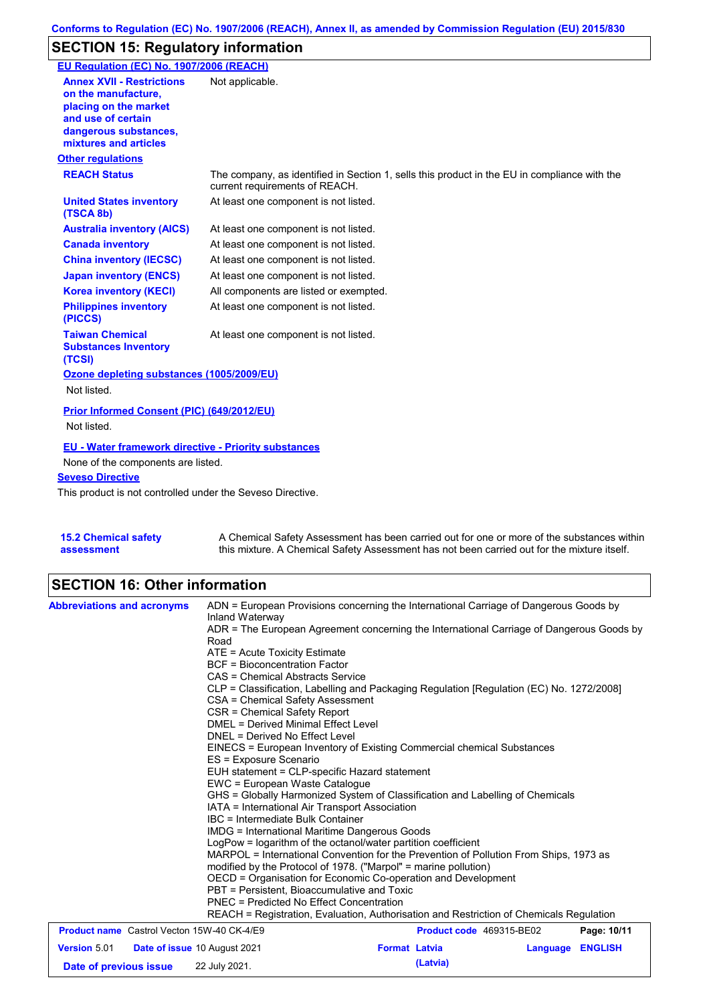# **SECTION 15: Regulatory information**

| EU Regulation (EC) No. 1907/2006 (REACH)                                                                                                                 |                                                                                                                                |
|----------------------------------------------------------------------------------------------------------------------------------------------------------|--------------------------------------------------------------------------------------------------------------------------------|
| <b>Annex XVII - Restrictions</b><br>on the manufacture.<br>placing on the market<br>and use of certain<br>dangerous substances,<br>mixtures and articles | Not applicable.                                                                                                                |
| <b>Other regulations</b>                                                                                                                                 |                                                                                                                                |
| <b>REACH Status</b>                                                                                                                                      | The company, as identified in Section 1, sells this product in the EU in compliance with the<br>current requirements of REACH. |
| <b>United States inventory</b><br>(TSCA 8b)                                                                                                              | At least one component is not listed.                                                                                          |
| <b>Australia inventory (AICS)</b>                                                                                                                        | At least one component is not listed.                                                                                          |
| <b>Canada inventory</b>                                                                                                                                  | At least one component is not listed.                                                                                          |
| <b>China inventory (IECSC)</b>                                                                                                                           | At least one component is not listed.                                                                                          |
| <b>Japan inventory (ENCS)</b>                                                                                                                            | At least one component is not listed.                                                                                          |
| <b>Korea inventory (KECI)</b>                                                                                                                            | All components are listed or exempted.                                                                                         |
| <b>Philippines inventory</b><br>(PICCS)                                                                                                                  | At least one component is not listed.                                                                                          |
| <b>Taiwan Chemical</b><br><b>Substances Inventory</b><br>(TCSI)                                                                                          | At least one component is not listed.                                                                                          |
| Ozone depleting substances (1005/2009/EU)<br>Not listed.                                                                                                 |                                                                                                                                |
| Prior Informed Consent (PIC) (649/2012/EU)<br>Not listed.                                                                                                |                                                                                                                                |
| EU - Water framework directive - Priority substances<br>None of the components are listed.                                                               |                                                                                                                                |
| <b>Seveso Directive</b>                                                                                                                                  |                                                                                                                                |
| This product is not controlled under the Seveso Directive.                                                                                               |                                                                                                                                |

**15.2 Chemical safety assessment** A Chemical Safety Assessment has been carried out for one or more of the substances within this mixture. A Chemical Safety Assessment has not been carried out for the mixture itself.

# **SECTION 16: Other information**

| <b>Abbreviations and acronyms</b>                 | ADN = European Provisions concerning the International Carriage of Dangerous Goods by<br>Inland Waterway<br>ADR = The European Agreement concerning the International Carriage of Dangerous Goods by                                                                                                                                                                                                                                                                                                                                                                                                                                                                                                                                                                                                                                             |                          |          |                |  |  |
|---------------------------------------------------|--------------------------------------------------------------------------------------------------------------------------------------------------------------------------------------------------------------------------------------------------------------------------------------------------------------------------------------------------------------------------------------------------------------------------------------------------------------------------------------------------------------------------------------------------------------------------------------------------------------------------------------------------------------------------------------------------------------------------------------------------------------------------------------------------------------------------------------------------|--------------------------|----------|----------------|--|--|
|                                                   | Road<br>ATE = Acute Toxicity Estimate<br><b>BCF</b> = Bioconcentration Factor<br>CAS = Chemical Abstracts Service<br>CLP = Classification, Labelling and Packaging Regulation [Regulation (EC) No. 1272/2008]<br>CSA = Chemical Safety Assessment<br>CSR = Chemical Safety Report                                                                                                                                                                                                                                                                                                                                                                                                                                                                                                                                                                |                          |          |                |  |  |
|                                                   | <b>DMEL = Derived Minimal Effect Level</b><br>DNEL = Derived No Effect Level<br>EINECS = European Inventory of Existing Commercial chemical Substances<br>ES = Exposure Scenario<br>EUH statement = CLP-specific Hazard statement<br>EWC = European Waste Catalogue<br>GHS = Globally Harmonized System of Classification and Labelling of Chemicals<br>IATA = International Air Transport Association<br>IBC = Intermediate Bulk Container<br><b>IMDG = International Maritime Dangerous Goods</b><br>LogPow = logarithm of the octanol/water partition coefficient<br>MARPOL = International Convention for the Prevention of Pollution From Ships, 1973 as<br>modified by the Protocol of 1978. ("Marpol" = marine pollution)<br>OECD = Organisation for Economic Co-operation and Development<br>PBT = Persistent, Bioaccumulative and Toxic |                          |          |                |  |  |
|                                                   |                                                                                                                                                                                                                                                                                                                                                                                                                                                                                                                                                                                                                                                                                                                                                                                                                                                  |                          |          |                |  |  |
|                                                   |                                                                                                                                                                                                                                                                                                                                                                                                                                                                                                                                                                                                                                                                                                                                                                                                                                                  |                          |          |                |  |  |
|                                                   |                                                                                                                                                                                                                                                                                                                                                                                                                                                                                                                                                                                                                                                                                                                                                                                                                                                  |                          |          |                |  |  |
|                                                   |                                                                                                                                                                                                                                                                                                                                                                                                                                                                                                                                                                                                                                                                                                                                                                                                                                                  |                          |          |                |  |  |
|                                                   |                                                                                                                                                                                                                                                                                                                                                                                                                                                                                                                                                                                                                                                                                                                                                                                                                                                  |                          |          |                |  |  |
|                                                   | PNEC = Predicted No Effect Concentration<br>REACH = Registration, Evaluation, Authorisation and Restriction of Chemicals Regulation                                                                                                                                                                                                                                                                                                                                                                                                                                                                                                                                                                                                                                                                                                              |                          |          |                |  |  |
| <b>Product name</b> Castrol Vecton 15W-40 CK-4/E9 |                                                                                                                                                                                                                                                                                                                                                                                                                                                                                                                                                                                                                                                                                                                                                                                                                                                  | Product code 469315-BE02 |          | Page: 10/11    |  |  |
| <b>Version 5.01</b>                               | <b>Date of issue 10 August 2021</b>                                                                                                                                                                                                                                                                                                                                                                                                                                                                                                                                                                                                                                                                                                                                                                                                              | <b>Format Latvia</b>     | Language | <b>ENGLISH</b> |  |  |
| Date of previous issue                            | 22 July 2021.                                                                                                                                                                                                                                                                                                                                                                                                                                                                                                                                                                                                                                                                                                                                                                                                                                    | (Latvia)                 |          |                |  |  |